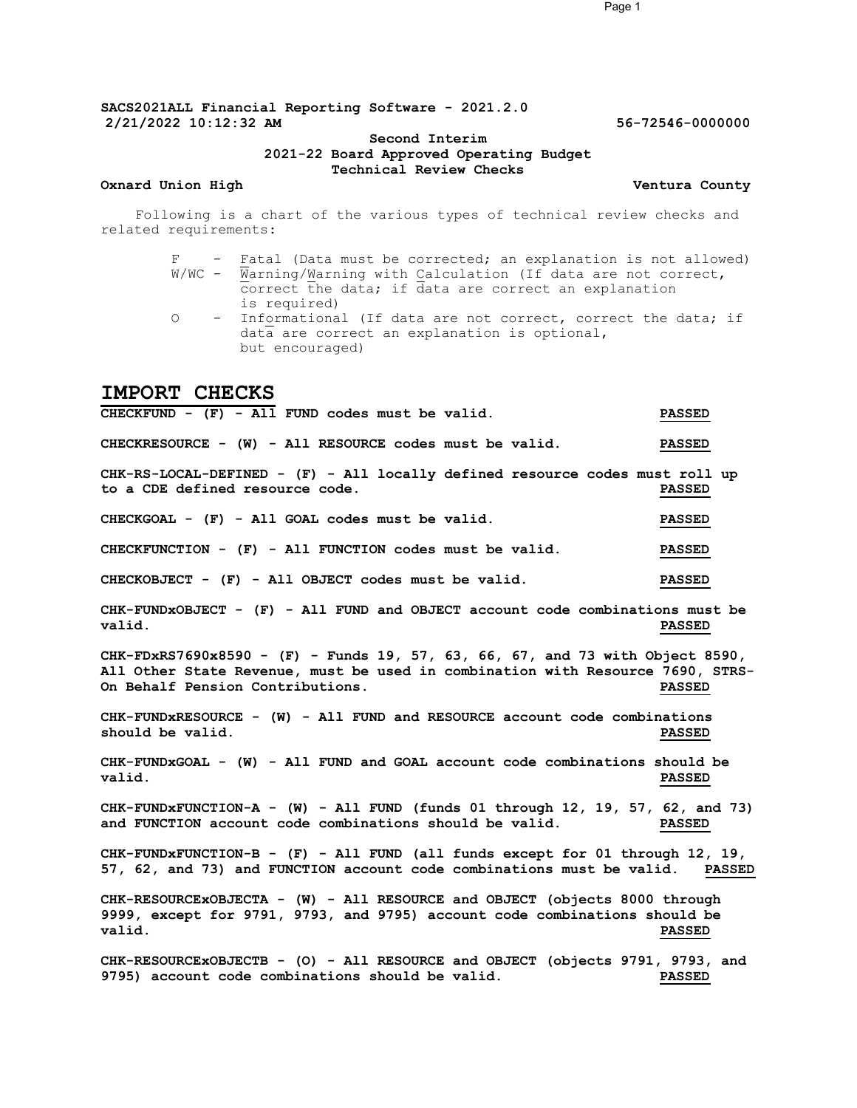SACS2021ALL Financial Reporting Software - 2021.2.0 2/21/2022 10:12:32 AM 56-72546-0000000

### Second Interim 2021-22 Board Approved Operating Budget Technical Review Checks

Oxnard Union High Ventura County

Following is a chart of the various types of technical review checks and related requirements:

- F Fatal (Data must be corrected; an explanation is not allowed)  $W/WC$  -  $\overline{W}$ arning/ $W$ arning with Calculation (If data are not correct, correct the data; if data are correct an explanation is required) O - Informational (If data are not correct, correct the data; if
- data are correct an explanation is optional, but encouraged)

# IMPORT CHECKS

CHECKFUND - (F) - All FUND codes must be valid. PASSED CHECKRESOURCE - (W) - All RESOURCE codes must be valid. PASSED CHK-RS-LOCAL-DEFINED - (F) - All locally defined resource codes must roll up to a CDE defined resource code. PASSED CHECKGOAL - (F) - All GOAL codes must be valid. PASSED CHECKFUNCTION - (F) - All FUNCTION codes must be valid. PASSED CHECKOBJECT - (F) - All OBJECT codes must be valid. PASSED CHK-FUNDxOBJECT - (F) - All FUND and OBJECT account code combinations must be valid. PASSED CHK-FDxRS7690x8590 - (F) - Funds 19, 57, 63, 66, 67, and 73 with Object 8590, All Other State Revenue, must be used in combination with Resource 7690, STRS-<br>On Behalf Pension Contributions. This resource a passed On Behalf Pension Contributions. CHK-FUNDxRESOURCE - (W) - All FUND and RESOURCE account code combinations should be valid. The value of the state of the state of the state of the state of the state of the state of the state of the state of the state of the state of the state of the state of the state of the state of the state CHK-FUNDxGOAL - (W) - All FUND and GOAL account code combinations should be valid. PASSED CHK-FUNDxFUNCTION-A - (W) - All FUND (funds 01 through 12, 19, 57, 62, and 73) and FUNCTION account code combinations should be valid. PASSED CHK-FUNDxFUNCTION-B - (F) - All FUND (all funds except for 01 through 12, 19, 57, 62, and 73) and FUNCTION account code combinations must be valid. PASSED CHK-RESOURCExOBJECTA - (W) - All RESOURCE and OBJECT (objects 8000 through 9999, except for 9791, 9793, and 9795) account code combinations should be valid. PASSED CHK-RESOURCEXOBJECTB - (O) - All RESOURCE and OBJECT (objects 9791, 9793, and 9795) cccount code combinations should be valid. 9795) account code combinations should be valid.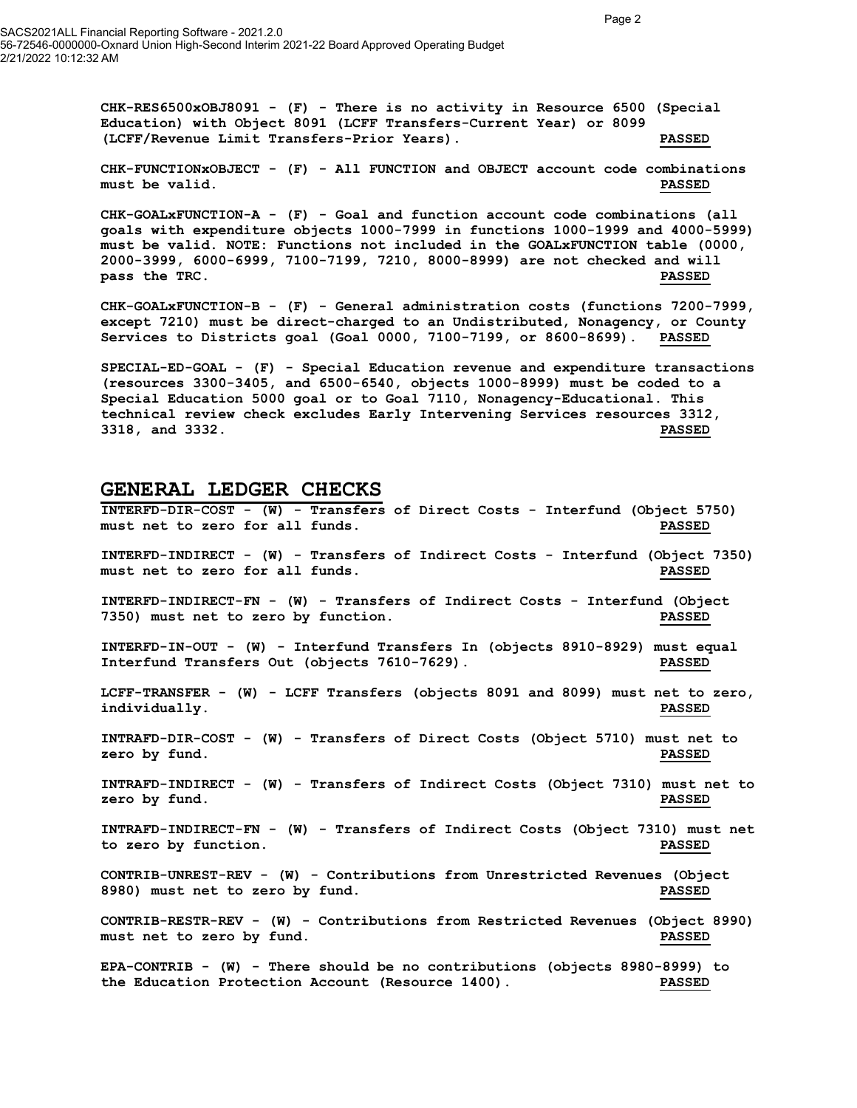$CHK-RES6500xOBJ8091$  - (F) - There is no activity in Resource 6500 (Special Education) with Object 8091 (LCFF Transfers-Current Year) or 8099 (LCFF/Revenue Limit Transfers-Prior Years). PASSED

CHK-FUNCTIONxOBJECT - (F) - All FUNCTION and OBJECT account code combinations must be valid. PASSED

CHK-GOALxFUNCTION-A - (F) - Goal and function account code combinations (all goals with expenditure objects 1000-7999 in functions 1000-1999 and 4000-5999) must be valid. NOTE: Functions not included in the GOALxFUNCTION table (0000, 2000-3999, 6000-6999, 7100-7199, 7210, 8000-8999) are not checked and will pass the TRC. The Communication of the Communication of the Communication of the Communication of the Communication of the Communication of the Communication of the Communication of the Communication of the Communication o

CHK-GOALxFUNCTION-B - (F) - General administration costs (functions 7200-7999, except 7210) must be direct-charged to an Undistributed, Nonagency, or County Services to Districts goal (Goal 0000, 7100-7199, or 8600-8699). PASSED

SPECIAL-ED-GOAL - (F) - Special Education revenue and expenditure transactions (resources 3300-3405, and 6500-6540, objects 1000-8999) must be coded to a Special Education 5000 goal or to Goal 7110, Nonagency-Educational. This technical review check excludes Early Intervening Services resources 3312, 3318, and 3332. PASSED

## GENERAL LEDGER CHECKS

INTERFD-DIR-COST - (W) - Transfers of Direct Costs - Interfund (Object 5750) must net to zero for all funds. PASSED INTERFD-INDIRECT - (W) - Transfers of Indirect Costs - Interfund (Object 7350) must net to zero for all funds. PASSED INTERFD-INDIRECT-FN - (W) - Transfers of Indirect Costs - Interfund (Object 7350) must net to zero by function. PASSED INTERFD-IN-OUT - (W) - Interfund Transfers In (objects 8910-8929) must equal Interfund Transfers Out (objects 7610-7629). PASSED LCFF-TRANSFER - (W) - LCFF Transfers (objects 8091 and 8099) must net to zero, individually. PASSED INTRAFD-DIR-COST - (W) - Transfers of Direct Costs (Object 5710) must net to zero by fund. Notice that the set of the set of the set of the set of the set of the set of the set of the set o INTRAFD-INDIRECT - (W) - Transfers of Indirect Costs (Object 7310) must net to zero by fund. Notice that the extent of the extent of the extent of the extent of the extent of the extent of the extent of the extent of the extent of the extent of the extent of the extent of the extent of the extent of INTRAFD-INDIRECT-FN - (W) - Transfers of Indirect Costs (Object 7310) must net to zero by function. PASSED CONTRIB-UNREST-REV - (W) - Contributions from Unrestricted Revenues (Object 8980) must net to zero by fund. PASSED CONTRIB-RESTR-REV - (W) - Contributions from Restricted Revenues (Object 8990) must net to zero by fund. The set of the set of the set of the set of the set of the set of the set of the set of the set of the set of the set of the set of the set of the set of the set of the set of the set of the set o EPA-CONTRIB - (W) - There should be no contributions (objects 8980-8999) to

the Education Protection Account (Resource 1400). PASSED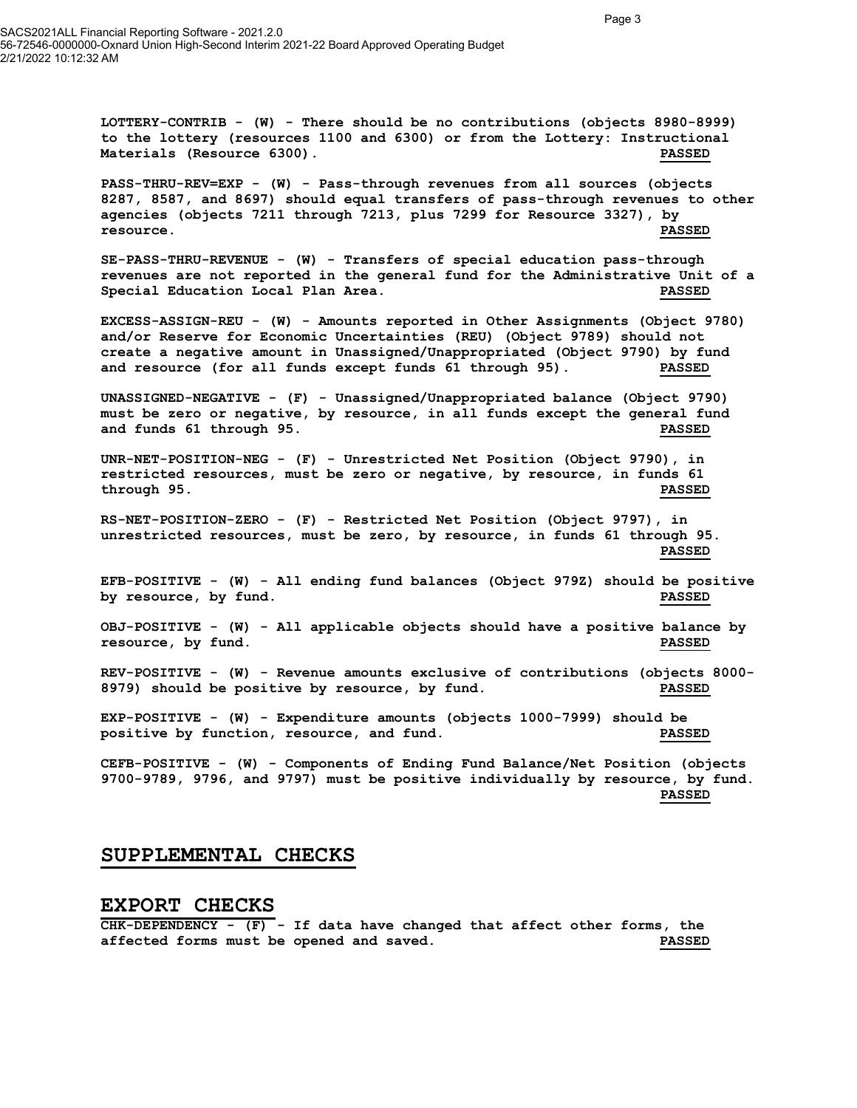SACS2021ALL Financial Reporting Software - 2021.2.0 56-72546-0000000-Oxnard Union High-Second Interim 2021-22 Board Approved Operating Budget 2/21/2022 10:12:32 AM

> LOTTERY-CONTRIB - (W) - There should be no contributions (objects 8980-8999) to the lottery (resources 1100 and 6300) or from the Lottery: Instructional Materials (Resource 6300). PASSED

PASS-THRU-REV=EXP - (W) - Pass-through revenues from all sources (objects 8287, 8587, and 8697) should equal transfers of pass-through revenues to other agencies (objects 7211 through 7213, plus 7299 for Resource 3327), by resource. PASSED

SE-PASS-THRU-REVENUE - (W) - Transfers of special education pass-through revenues are not reported in the general fund for the Administrative Unit of a Special Education Local Plan Area. PASSED

EXCESS-ASSIGN-REU - (W) - Amounts reported in Other Assignments (Object 9780) and/or Reserve for Economic Uncertainties (REU) (Object 9789) should not create a negative amount in Unassigned/Unappropriated (Object 9790) by fund and resource (for all funds except funds 61 through 95). PASSED

UNASSIGNED-NEGATIVE - (F) - Unassigned/Unappropriated balance (Object 9790) must be zero or negative, by resource, in all funds except the general fund and funds 61 through 95. PASSED

UNR-NET-POSITION-NEG - (F) - Unrestricted Net Position (Object 9790), in restricted resources, must be zero or negative, by resource, in funds 61 through 95. PASSED

RS-NET-POSITION-ZERO - (F) - Restricted Net Position (Object 9797), in unrestricted resources, must be zero, by resource, in funds 61 through 95. PASSED

EFB-POSITIVE - (W) - All ending fund balances (Object 979Z) should be positive by resource, by fund. PASSED

OBJ-POSITIVE - (W) - All applicable objects should have a positive balance by resource, by fund. PASSED

REV-POSITIVE - (W) - Revenue amounts exclusive of contributions (objects 8000- 8979) should be positive by resource, by fund. PASSED

EXP-POSITIVE - (W) - Expenditure amounts (objects 1000-7999) should be positive by function, resource, and fund. PASSED

CEFB-POSITIVE - (W) - Components of Ending Fund Balance/Net Position (objects 9700-9789, 9796, and 9797) must be positive individually by resource, by fund. PASSED

# SUPPLEMENTAL CHECKS

#### EXPORT CHECKS

 $CHK-DEPENDENCY - (F) - If data have changed that affect other forms, the$ affected forms must be opened and saved. PASSED